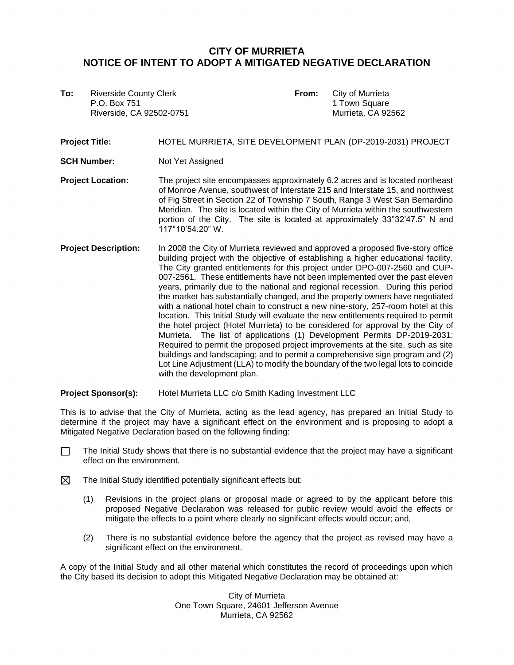## **CITY OF MURRIETA NOTICE OF INTENT TO ADOPT A MITIGATED NEGATIVE DECLARATION**

**To:** Riverside County Clerk **From:** City of Murrieta P.O. Box 751 1 Town Square Riverside, CA 92502-0751 Murrieta, CA 92562

**Project Title:** HOTEL MURRIETA, SITE DEVELOPMENT PLAN (DP-2019-2031) PROJECT **SCH Number:** Not Yet Assigned **Project Location:** The project site encompasses approximately 6.2 acres and is located northeast of Monroe Avenue, southwest of Interstate 215 and Interstate 15, and northwest of Fig Street in Section 22 of Township 7 South, Range 3 West San Bernardino Meridian. The site is located within the City of Murrieta within the southwestern portion of the City. The site is located at approximately 33°32'47.5" N and

**Project Description:** In 2008 the City of Murrieta reviewed and approved a proposed five-story office building project with the objective of establishing a higher educational facility. The City granted entitlements for this project under DPO-007-2560 and CUP-007-2561. These entitlements have not been implemented over the past eleven years, primarily due to the national and regional recession. During this period the market has substantially changed, and the property owners have negotiated with a national hotel chain to construct a new nine-story, 257-room hotel at this location. This Initial Study will evaluate the new entitlements required to permit the hotel project (Hotel Murrieta) to be considered for approval by the City of Murrieta. The list of applications (1) Development Permits DP-2019-2031: Required to permit the proposed project improvements at the site, such as site buildings and landscaping; and to permit a comprehensive sign program and (2) Lot Line Adjustment (LLA) to modify the boundary of the two legal lots to coincide with the development plan.

**Project Sponsor(s):** Hotel Murrieta LLC c/o Smith Kading Investment LLC

117°10'54.20" W.

This is to advise that the City of Murrieta, acting as the lead agency, has prepared an Initial Study to determine if the project may have a significant effect on the environment and is proposing to adopt a Mitigated Negative Declaration based on the following finding:

- The Initial Study shows that there is no substantial evidence that the project may have a significant effect on the environment.  $\Box$
- ⊠ The Initial Study identified potentially significant effects but:
	- (1) Revisions in the project plans or proposal made or agreed to by the applicant before this proposed Negative Declaration was released for public review would avoid the effects or mitigate the effects to a point where clearly no significant effects would occur; and,
	- (2) There is no substantial evidence before the agency that the project as revised may have a significant effect on the environment.

A copy of the Initial Study and all other material which constitutes the record of proceedings upon which the City based its decision to adopt this Mitigated Negative Declaration may be obtained at:

> City of Murrieta One Town Square, 24601 Jefferson Avenue Murrieta, CA 92562